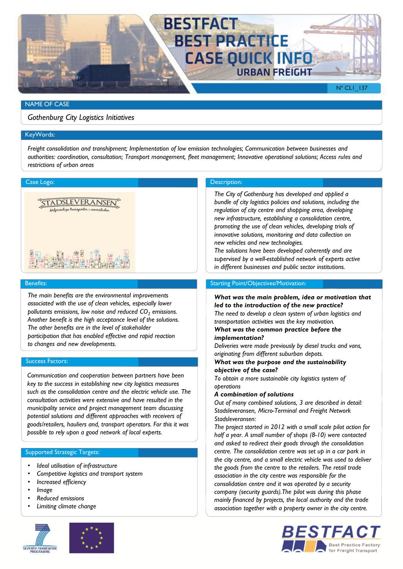

## NAME OF CASE

*Gothenburg City Logistics Initiatives*

### KeyWords:

*Freight consolidation and transhipment; Implementation of low emission technologies; Communication between businesses and authorities: coordination, consultation; Transport management, fleet management; Innovative operational solutions; Access rules and restrictions of urban areas*



#### Benefits:

*The main benefits are the environmental improvements associated with the use of clean vehicles, especially lower pollutants emissions, low noise and reduced CO<sup>2</sup> emissions. Another benefit is the high acceptance level of the solutions. The other benefits are in the level of stakeholder participation that has enabled effective and rapid reaction to changes and new developments.* 

### Success Factors:

*Communication and cooperation between partners have been key to the success in establishing new city logistics measures such as the consolidation centre and the electric vehicle use. The consultation activities were extensive and have resulted in the municipality service and project management team discussing potential solutions and different approaches with receivers of goods/retailers, hauliers and, transport operators. For this it was possible to rely upon a good network of local experts.*

### Supported Strategic Targets:

- *Ideal utilisation of infrastructure*
- *Competitive logistics and transport system*
- *Increased efficiency*
- *Image*
- *Reduced emissions*
- *Limiting climate change*



## Case Logo: Description: Description: Description: Description: Description:

*The City of Gothenburg has developed and applied a bundle of city logistics policies and solutions, including the regulation of city centre and shopping area, developing new infrastructure, establishing a consolidation centre, promoting the use of clean vehicles, developing trials of innovative solutions, monitoring and data collection on new vehicles and new technologies.* 

*The solutions have been developed coherently and are supervised by a well-established network of experts active in different businesses and public sector institutions.*

## Starting Point/Objectives/Motivation:

*What was the main problem, idea or motivation that led to the introduction of the new practice? The need to develop a clean system of urban logistics and transportation activities was the key motivation.*

## *What was the common practice before the implementation?*

*Deliveries were made previously by diesel trucks and vans, originating from different suburban depots.*

## *What was the purpose and the sustainability objective of the case?*

*To obtain a more sustainable city logistics system of operations*

## *A combination of solutions*

*Out of many combined solutions, 3 are described in detail: Stadsleveransen, Micro-Terminal and Freight Network Stadsleveransen:*

*The project started in 2012 with a small scale pilot action for half a year. A small number of shops (8-10) were contacted and asked to redirect their goods through the consolidation centre. The consolidation centre was set up in a car park in the city centre, and a small electric vehicle was used to deliver the goods from the centre to the retailers. The retail trade association in the city centre was responsible for the consolidation centre and it was operated by a security company (security guards).The pilot was during this phase mainly financed by projects, the local authority and the trade association together with a property owner in the city centre.*